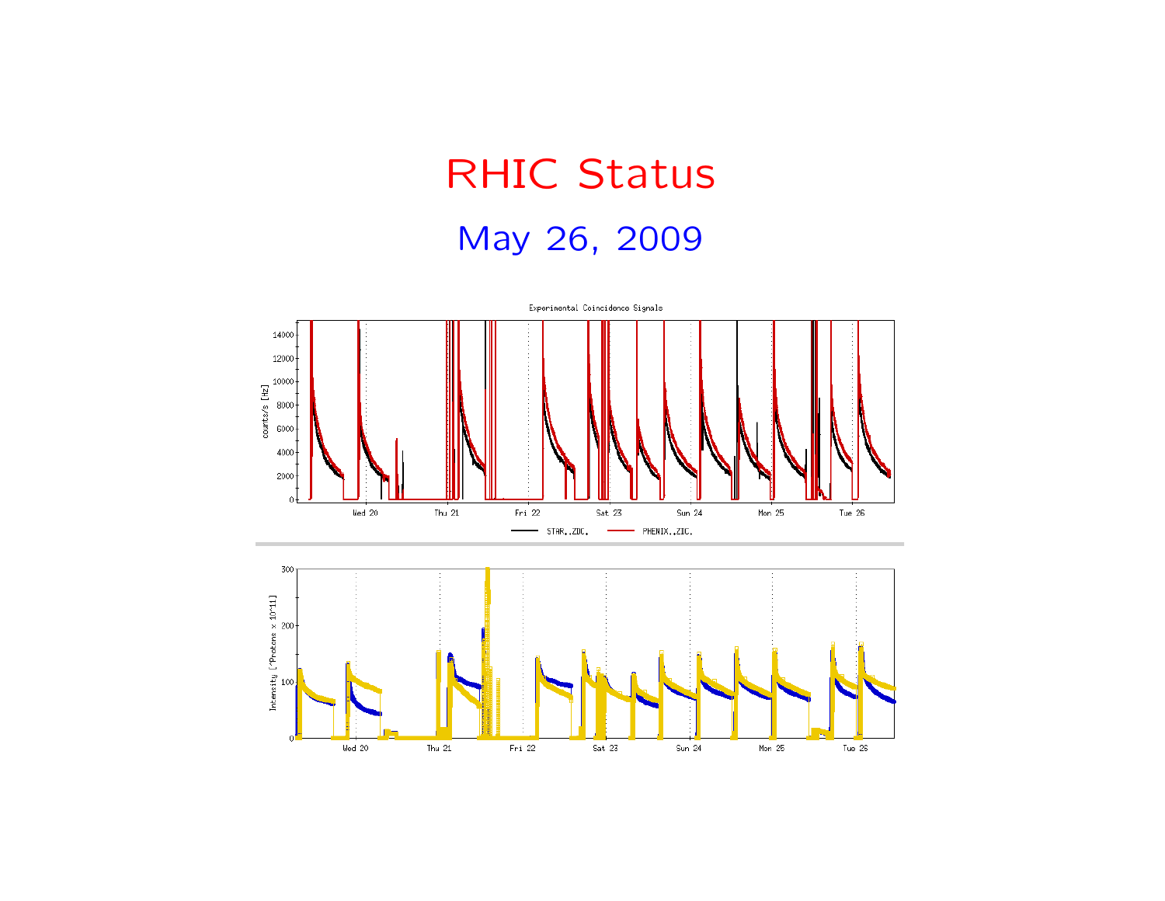## RHIC StatusMay 26, 2009

![](_page_0_Figure_1.jpeg)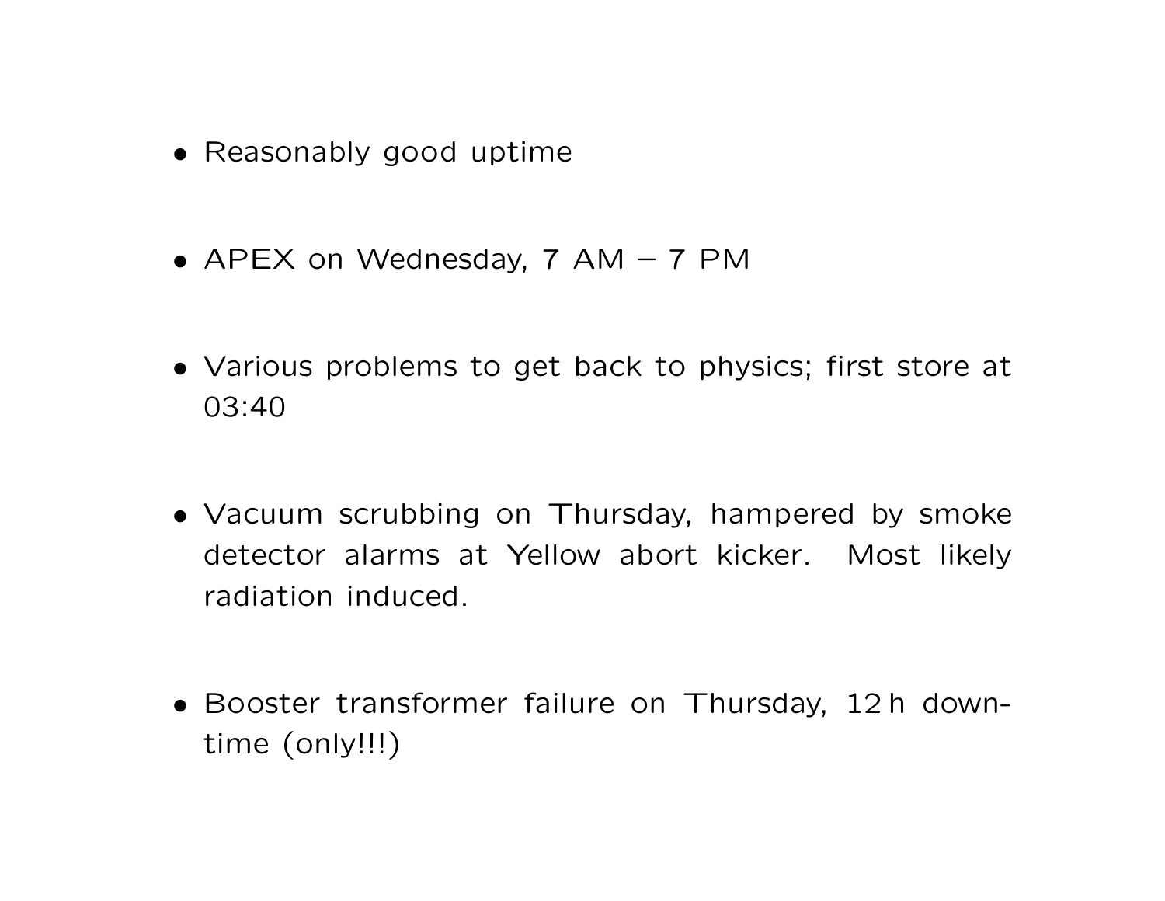- Reasonably good uptime
- APEX on Wednesday, <sup>7</sup> AM <sup>7</sup> PM
- Various problems to get back to physics; first store at 03:40
- Vacuum scrubbing on Thursday, hampered by smoke detector alarms at Yellow abort kicker. Most likelyradiation induced.
- Booster transformer failure on Thursday, <sup>12</sup> <sup>h</sup> downtime (only!!!)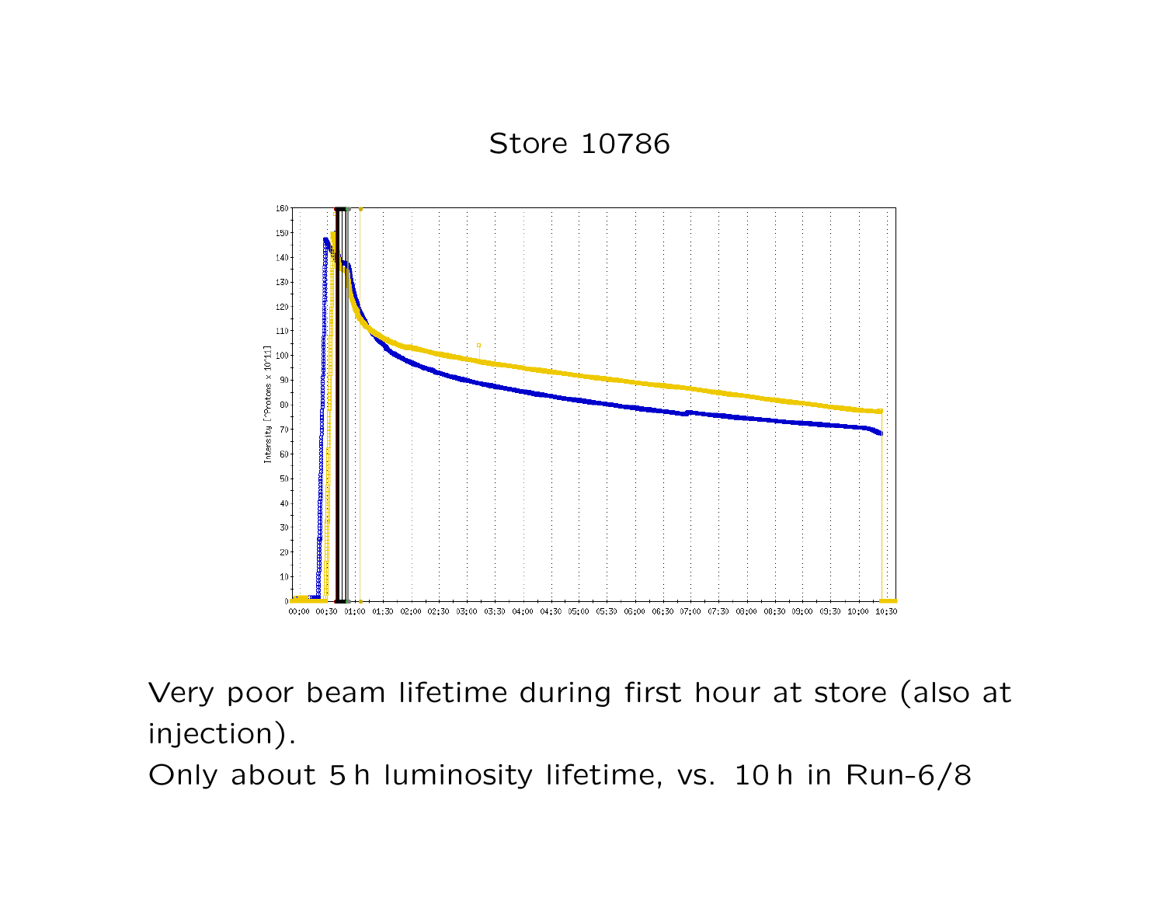Store 10786

![](_page_2_Figure_1.jpeg)

Very poor beam lifetime during first hour at store (also atinjection).

Only about 5 h luminosity lifetime, vs. 10 h in Run-6/8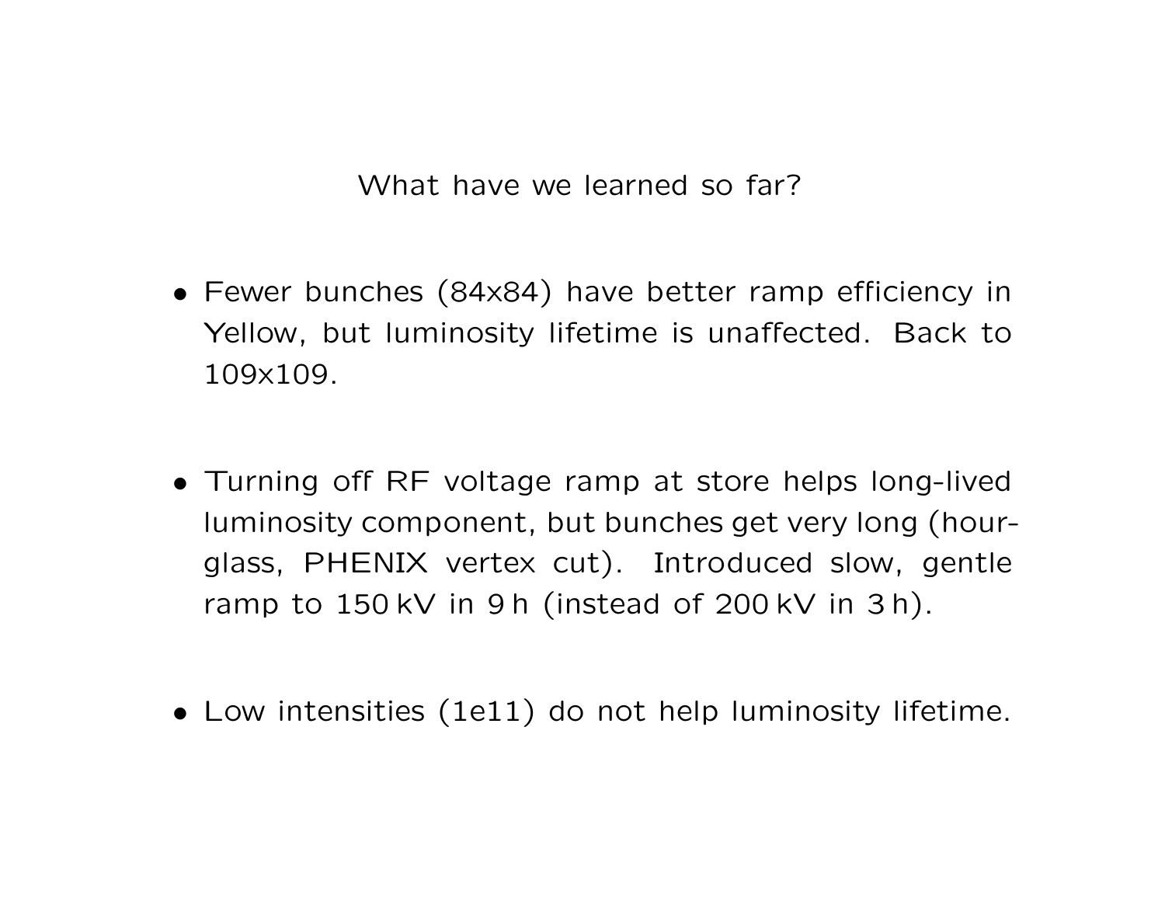What have we learned so far?

- Fewer bunches (84x84) have better ramp efficiency inYellow, but luminosity lifetime is unaffected. Back to109x109.
- Turning off RF voltage ramp at store helps long-livedluminosity component, but bunches get very long (hourglass, PHENIX vertex cut). Introduced slow, gentleramp to 150 kV in 9 h (instead of 200 kV in 3 h).
- Low intensities (1e11) do not help luminosity lifetime.